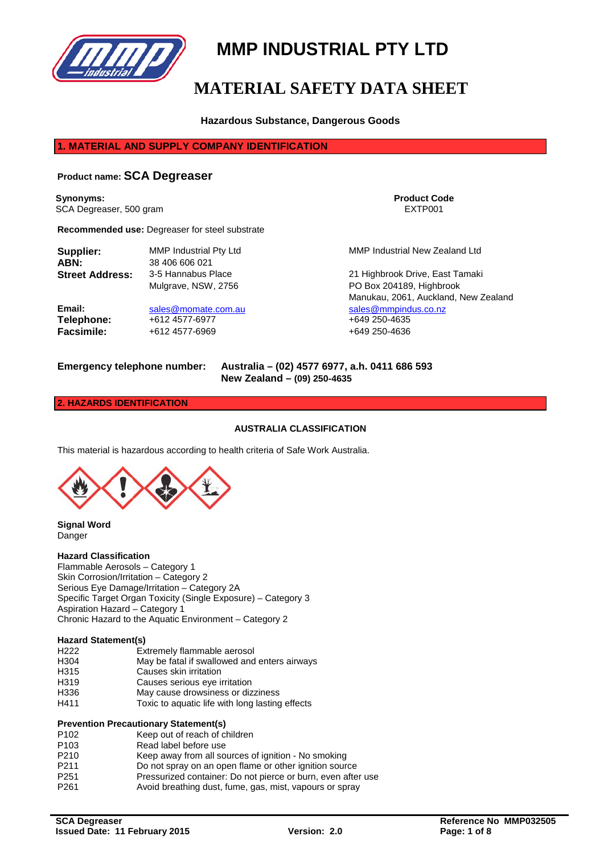

# **MMP INDUSTRIAL PTY LTD**

# **MATERIAL SAFETY DATA SHEET**

# **Hazardous Substance, Dangerous Goods**

# **1. MATERIAL AND SUPPLY COMPANY IDENTIFICATION**

# **Product name: SCA Degreaser**

**Synonyms: Product Code** SCA Degreaser, 500 gram EXTP001

**Recommended use:** Degreaser for steel substrate

| Supplier:              | <b>MMP Industrial Pty Ltd</b> |  |
|------------------------|-------------------------------|--|
| ABN:                   | 38 406 606 021                |  |
| <b>Street Address:</b> | 3-5 Hannabus Place            |  |
|                        | Mulgrave, NSW, 2756           |  |

**Telephone:**  $+612\,4577-6977$   $+649\,250-4635$ <br> **Facsimile:**  $+612\,4577-6969$ **Facsimile:** +612 4577-6969 +649 250-4636

**MMP Industrial New Zealand Ltd** 

21 Highbrook Drive, East Tamaki PO Box 204189, Highbrook Manukau, 2061, Auckland, New Zealand **Email:** [sales@momate.com.au](mailto:sales@momate.com.au) [sales@mmpindus.co.nz](mailto:mark@mmpindus.co.nz)<br> **Telephone:** +612 4577-6977 +649 250-4635

**Emergency telephone number: Australia – (02) 4577 6977, a.h. 0411 686 593 New Zealand – (09) 250-4635**

#### **2. HAZARDS IDENTIFICATION**

### **AUSTRALIA CLASSIFICATION**

This material is hazardous according to health criteria of Safe Work Australia.



**Signal Word** Danger

#### **Hazard Classification**

Flammable Aerosols – Category 1 Skin Corrosion/Irritation – Category 2 Serious Eye Damage/Irritation – Category 2A Specific Target Organ Toxicity (Single Exposure) – Category 3 Aspiration Hazard – Category 1 Chronic Hazard to the Aquatic Environment – Category 2

# **Hazard Statement(s)**

- H222 Extremely flammable aerosol<br>H304 May be fatal if swallowed and
- H304 May be fatal if swallowed and enters airways<br>H315 Causes skin irritation
- H315 Causes skin irritation<br>
H319 Causes serious eve in
- H319 Causes serious eye irritation<br>H336 May cause drowsiness or diz
- H336 May cause drowsiness or dizziness<br>H411 Toxic to aquatic life with long lasting
- Toxic to aquatic life with long lasting effects

#### **Prevention Precautionary Statement(s)**

| P <sub>102</sub>  | Keep out of reach of children                                         |
|-------------------|-----------------------------------------------------------------------|
| P <sub>103</sub>  | Read label before use                                                 |
| P <sub>210</sub>  | Keep away from all sources of ignition - No smoking                   |
| P <sub>2</sub> 11 | Do not spray on an open flame or other ignition source                |
| P <sub>251</sub>  | Pressurized container: Do not pierce or burn, even after use          |
| $\n  max\n$       | Available as a think of the same and the same of the same and selling |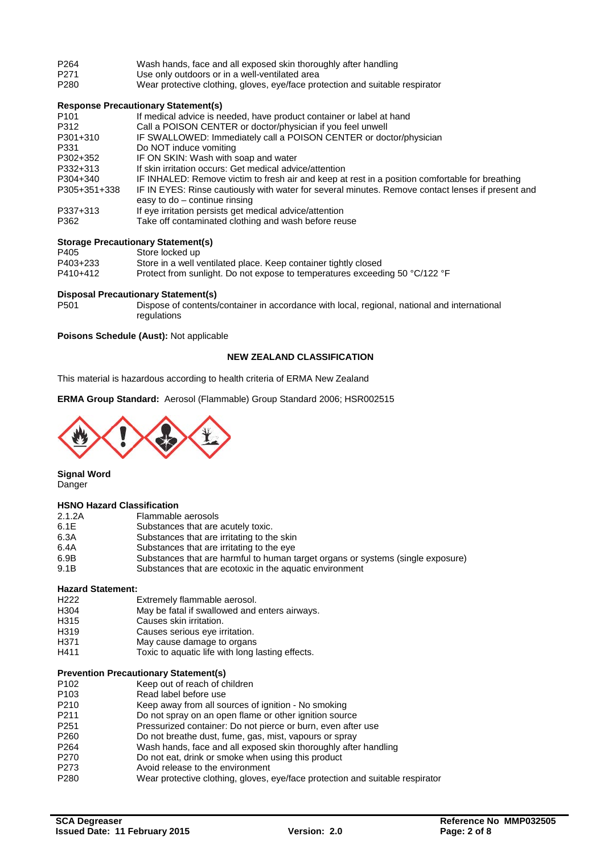| P <sub>264</sub> | Wash hands, face and all exposed skin thoroughly after handling |
|------------------|-----------------------------------------------------------------|
|                  |                                                                 |

- P271 Use only outdoors or in a well-ventilated area<br>P280 Wear protective clothing, gloves, eve/face pro
- Wear protective clothing, gloves, eye/face protection and suitable respirator

### **Response Precautionary Statement(s)**

| P <sub>101</sub> | If medical advice is needed, have product container or label at hand                                                                 |
|------------------|--------------------------------------------------------------------------------------------------------------------------------------|
| P312             | Call a POISON CENTER or doctor/physician if you feel unwell                                                                          |
| P301+310         | IF SWALLOWED: Immediately call a POISON CENTER or doctor/physician                                                                   |
| P331             | Do NOT induce vomiting                                                                                                               |
| P302+352         | IF ON SKIN: Wash with soap and water                                                                                                 |
| P332+313         | If skin irritation occurs: Get medical advice/attention                                                                              |
| P304+340         | IF INHALED: Remove victim to fresh air and keep at rest in a position comfortable for breathing                                      |
| P305+351+338     | IF IN EYES: Rinse cautiously with water for several minutes. Remove contact lenses if present and<br>easy to $do$ – continue rinsing |
| P337+313         | If eye irritation persists get medical advice/attention                                                                              |
| P362             | Take off contaminated clothing and wash before reuse                                                                                 |

### **Storage Precautionary Statement(s)**

| P405     | Store locked up                                                             |
|----------|-----------------------------------------------------------------------------|
| P403+233 | Store in a well ventilated place. Keep container tightly closed             |
| P410+412 | Protect from sunlight. Do not expose to temperatures exceeding 50 °C/122 °F |

# **Disposal Precautionary Statement(s)**

Dispose of contents/container in accordance with local, regional, national and international regulations

### **Poisons Schedule (Aust):** Not applicable

### **NEW ZEALAND CLASSIFICATION**

This material is hazardous according to health criteria of ERMA New Zealand

**ERMA Group Standard:** Aerosol (Flammable) Group Standard 2006; HSR002515



**Signal Word**

# **Danger**

#### **HSNO Hazard Classification**

| 2.1.2A | Flammable aerosols                                                              |
|--------|---------------------------------------------------------------------------------|
| 6.1E   | Substances that are acutely toxic.                                              |
| 6.3A   | Substances that are irritating to the skin                                      |
| 6.4A   | Substances that are irritating to the eye                                       |
| 6.9B   | Substances that are harmful to human target organs or systems (single exposure) |
| 9.1B   | Substances that are ecotoxic in the aquatic environment                         |
|        |                                                                                 |

# **Hazard Statement:**

- H222 Extremely flammable aerosol.<br>H304 May be fatal if swallowed and
- H304 May be fatal if swallowed and enters airways.<br>H315 Causes skin irritation.
- H315 Causes skin irritation.<br>
H319 Causes serious eve ir
- H319 Causes serious eye irritation.<br>
H371 May cause damage to organs
- H371 May cause damage to organs<br>H411 Toxic to aquatic life with long l
- Toxic to aquatic life with long lasting effects.

# **Prevention Precautionary Statement(s)**

- P102 Keep out of reach of children<br>P103 Read label before use
- P103 Read label before use<br>P210 Keep away from all so
- P210 Keep away from all sources of ignition No smoking<br>P211 Do not spray on an open flame or other ignition sour
- P211 Do not spray on an open flame or other ignition source<br>P251 Pressurized container: Do not pierce or burn, even afte
- P251 Pressurized container: Do not pierce or burn, even after use<br>P260 Do not breathe dust, fume, gas, mist, vapours or spray
- Do not breathe dust, fume, gas, mist, vapours or spray
- P264 Wash hands, face and all exposed skin thoroughly after handling<br>P270 Do not eat, drink or smoke when using this product
- P270 Do not eat, drink or smoke when using this product<br>P273 Avoid release to the environment
- Avoid release to the environment
- P280 Wear protective clothing, gloves, eye/face protection and suitable respirator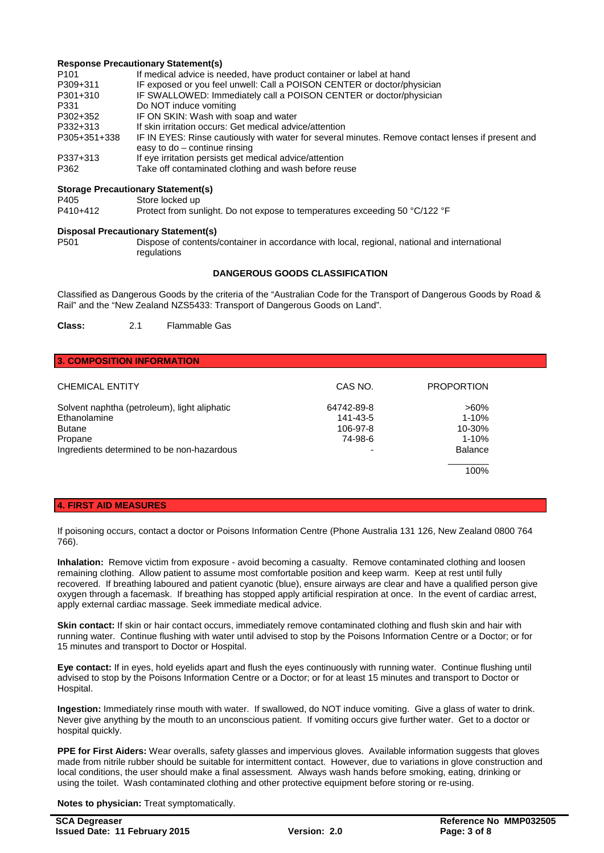### **Response Precautionary Statement(s)**

| P <sub>101</sub> | If medical advice is needed, have product container or label at hand                                                                 |
|------------------|--------------------------------------------------------------------------------------------------------------------------------------|
| P309+311         | IF exposed or you feel unwell: Call a POISON CENTER or doctor/physician                                                              |
| P301+310         | IF SWALLOWED: Immediately call a POISON CENTER or doctor/physician                                                                   |
| P331             | Do NOT induce vomiting                                                                                                               |
| P302+352         | IF ON SKIN: Wash with soap and water                                                                                                 |
| P332+313         | If skin irritation occurs: Get medical advice/attention                                                                              |
| P305+351+338     | IF IN EYES: Rinse cautiously with water for several minutes. Remove contact lenses if present and<br>easy to $do$ – continue rinsing |
| P337+313         | If eye irritation persists get medical advice/attention                                                                              |
| P362             | Take off contaminated clothing and wash before reuse                                                                                 |

#### **Storage Precautionary Statement(s)**

| P405     | Store locked up                                                             |
|----------|-----------------------------------------------------------------------------|
| P410+412 | Protect from sunlight. Do not expose to temperatures exceeding 50 °C/122 °F |

# **Disposal Precautionary Statement(s)**

Dispose of contents/container in accordance with local, regional, national and international regulations

### **DANGEROUS GOODS CLASSIFICATION**

Classified as Dangerous Goods by the criteria of the "Australian Code for the Transport of Dangerous Goods by Road & Rail" and the "New Zealand NZS5433: Transport of Dangerous Goods on Land".

**Class:** 2.1 Flammable Gas

### **3. COMPOSITION INFORMATION**

| <b>CHEMICAL ENTITY</b>                                                                   | CAS NO.                                       | <b>PROPORTION</b>                               |
|------------------------------------------------------------------------------------------|-----------------------------------------------|-------------------------------------------------|
| Solvent naphtha (petroleum), light aliphatic<br>Ethanolamine<br><b>Butane</b><br>Propane | 64742-89-8<br>141-43-5<br>106-97-8<br>74-98-6 | $>60\%$<br>$1 - 10%$<br>$10 - 30%$<br>$1 - 10%$ |
| Ingredients determined to be non-hazardous                                               | $\overline{\phantom{0}}$                      | Balance                                         |
|                                                                                          |                                               | 100%                                            |

### **4. FIRST AID MEASURES**

If poisoning occurs, contact a doctor or Poisons Information Centre (Phone Australia 131 126, New Zealand 0800 764 766).

**Inhalation:** Remove victim from exposure - avoid becoming a casualty. Remove contaminated clothing and loosen remaining clothing. Allow patient to assume most comfortable position and keep warm. Keep at rest until fully recovered. If breathing laboured and patient cyanotic (blue), ensure airways are clear and have a qualified person give oxygen through a facemask. If breathing has stopped apply artificial respiration at once. In the event of cardiac arrest, apply external cardiac massage. Seek immediate medical advice.

**Skin contact:** If skin or hair contact occurs, immediately remove contaminated clothing and flush skin and hair with running water. Continue flushing with water until advised to stop by the Poisons Information Centre or a Doctor; or for 15 minutes and transport to Doctor or Hospital.

**Eye contact:** If in eyes, hold eyelids apart and flush the eyes continuously with running water. Continue flushing until advised to stop by the Poisons Information Centre or a Doctor; or for at least 15 minutes and transport to Doctor or Hospital.

**Ingestion:** Immediately rinse mouth with water. If swallowed, do NOT induce vomiting. Give a glass of water to drink. Never give anything by the mouth to an unconscious patient. If vomiting occurs give further water. Get to a doctor or hospital quickly.

**PPE for First Aiders:** Wear overalls, safety glasses and impervious gloves. Available information suggests that gloves made from nitrile rubber should be suitable for intermittent contact. However, due to variations in glove construction and local conditions, the user should make a final assessment. Always wash hands before smoking, eating, drinking or using the toilet. Wash contaminated clothing and other protective equipment before storing or re-using.

**Notes to physician:** Treat symptomatically.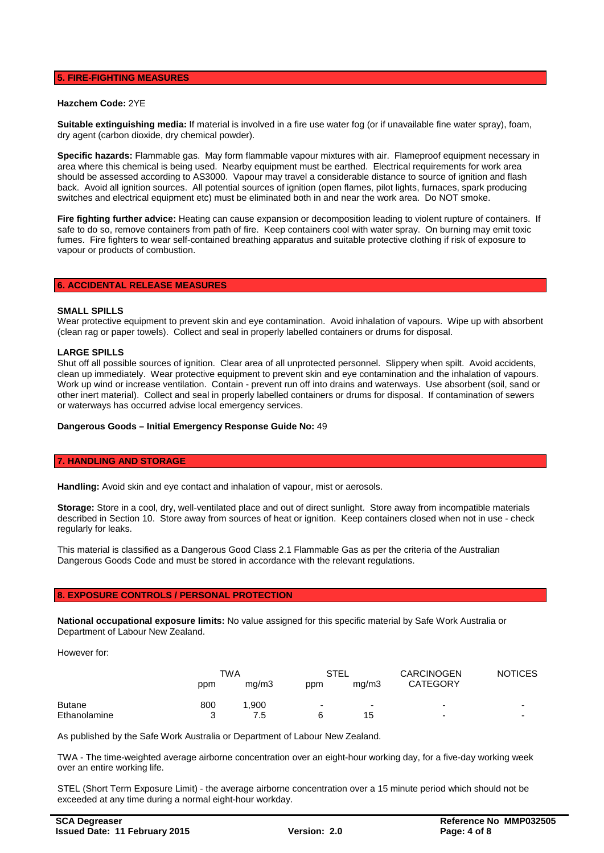## **5. FIRE-FIGHTING MEASURES**

#### **Hazchem Code:** 2YE

**Suitable extinguishing media:** If material is involved in a fire use water fog (or if unavailable fine water spray), foam, dry agent (carbon dioxide, dry chemical powder).

**Specific hazards:** Flammable gas. May form flammable vapour mixtures with air. Flameproof equipment necessary in area where this chemical is being used. Nearby equipment must be earthed. Electrical requirements for work area should be assessed according to AS3000. Vapour may travel a considerable distance to source of ignition and flash back. Avoid all ignition sources. All potential sources of ignition (open flames, pilot lights, furnaces, spark producing switches and electrical equipment etc) must be eliminated both in and near the work area. Do NOT smoke.

**Fire fighting further advice:** Heating can cause expansion or decomposition leading to violent rupture of containers. If safe to do so, remove containers from path of fire. Keep containers cool with water spray. On burning may emit toxic fumes. Fire fighters to wear self-contained breathing apparatus and suitable protective clothing if risk of exposure to vapour or products of combustion.

#### **6. ACCIDENTAL RELEASE MEASURES**

#### **SMALL SPILLS**

Wear protective equipment to prevent skin and eye contamination. Avoid inhalation of vapours. Wipe up with absorbent (clean rag or paper towels). Collect and seal in properly labelled containers or drums for disposal.

#### **LARGE SPILLS**

Shut off all possible sources of ignition. Clear area of all unprotected personnel. Slippery when spilt. Avoid accidents, clean up immediately. Wear protective equipment to prevent skin and eye contamination and the inhalation of vapours. Work up wind or increase ventilation. Contain - prevent run off into drains and waterways. Use absorbent (soil, sand or other inert material). Collect and seal in properly labelled containers or drums for disposal. If contamination of sewers or waterways has occurred advise local emergency services.

#### **Dangerous Goods – Initial Emergency Response Guide No:** 49

#### **7. HANDLING AND STORAGE**

**Handling:** Avoid skin and eye contact and inhalation of vapour, mist or aerosols.

**Storage:** Store in a cool, dry, well-ventilated place and out of direct sunlight. Store away from incompatible materials described in Section 10. Store away from sources of heat or ignition. Keep containers closed when not in use - check regularly for leaks.

This material is classified as a Dangerous Good Class 2.1 Flammable Gas as per the criteria of the Australian Dangerous Goods Code and must be stored in accordance with the relevant regulations.

#### **8. EXPOSURE CONTROLS / PERSONAL PROTECTION**

**National occupational exposure limits:** No value assigned for this specific material by Safe Work Australia or Department of Labour New Zealand.

However for:

|               | TWA |       | <b>STEL</b> |                          | <b>CARCINOGEN</b> | <b>NOTICES</b> |
|---------------|-----|-------|-------------|--------------------------|-------------------|----------------|
|               | ppm | mq/m3 | ppm         | ma/m3                    | <b>CATEGORY</b>   |                |
| <b>Butane</b> | 800 | 1,900 | -           | $\overline{\phantom{a}}$ | -                 | -              |
| Ethanolamine  | 2   | 7.5   | ิค          | 15                       | -                 | -              |

As published by the Safe Work Australia or Department of Labour New Zealand.

TWA - The time-weighted average airborne concentration over an eight-hour working day, for a five-day working week over an entire working life.

STEL (Short Term Exposure Limit) - the average airborne concentration over a 15 minute period which should not be exceeded at any time during a normal eight-hour workday.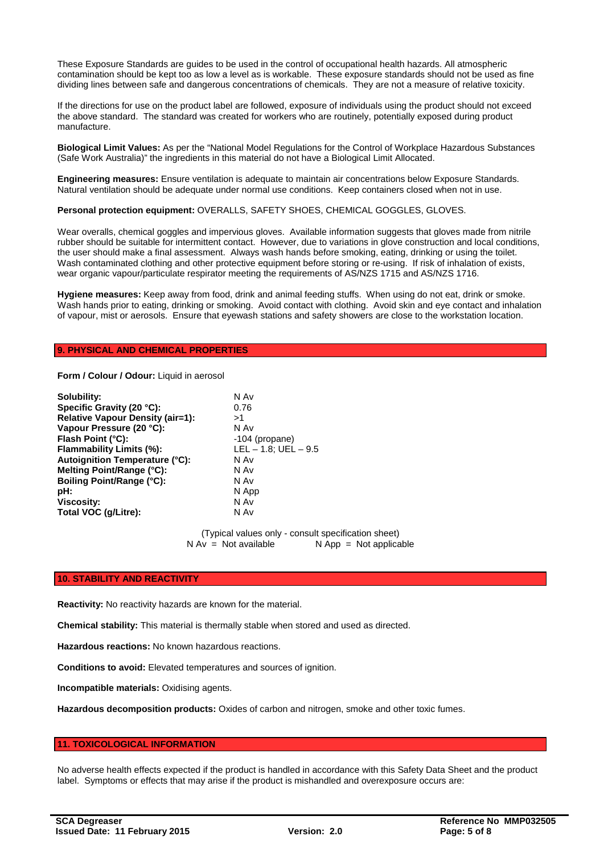These Exposure Standards are guides to be used in the control of occupational health hazards. All atmospheric contamination should be kept too as low a level as is workable. These exposure standards should not be used as fine dividing lines between safe and dangerous concentrations of chemicals. They are not a measure of relative toxicity.

If the directions for use on the product label are followed, exposure of individuals using the product should not exceed the above standard. The standard was created for workers who are routinely, potentially exposed during product manufacture.

**Biological Limit Values:** As per the "National Model Regulations for the Control of Workplace Hazardous Substances (Safe Work Australia)" the ingredients in this material do not have a Biological Limit Allocated.

**Engineering measures:** Ensure ventilation is adequate to maintain air concentrations below Exposure Standards. Natural ventilation should be adequate under normal use conditions. Keep containers closed when not in use.

#### **Personal protection equipment:** OVERALLS, SAFETY SHOES, CHEMICAL GOGGLES, GLOVES.

Wear overalls, chemical goggles and impervious gloves. Available information suggests that gloves made from nitrile rubber should be suitable for intermittent contact. However, due to variations in glove construction and local conditions, the user should make a final assessment. Always wash hands before smoking, eating, drinking or using the toilet. Wash contaminated clothing and other protective equipment before storing or re-using. If risk of inhalation of exists, wear organic vapour/particulate respirator meeting the requirements of AS/NZS 1715 and AS/NZS 1716.

**Hygiene measures:** Keep away from food, drink and animal feeding stuffs. When using do not eat, drink or smoke. Wash hands prior to eating, drinking or smoking. Avoid contact with clothing. Avoid skin and eye contact and inhalation of vapour, mist or aerosols. Ensure that eyewash stations and safety showers are close to the workstation location.

### **9. PHYSICAL AND CHEMICAL PROPERTIES**

**Form / Colour / Odour:** Liquid in aerosol

| Solubility:                      | N Av                      |
|----------------------------------|---------------------------|
| Specific Gravity (20 °C):        | 0.76                      |
| Relative Vapour Density (air=1): | >1                        |
| Vapour Pressure (20 °C):         | N Av                      |
| Flash Point (°C):                | -104 (propane)            |
| Flammability Limits (%):         | $LEL - 1.8$ ; UEL $- 9.5$ |
| Autoignition Temperature (°C):   | N Av                      |
| Melting Point/Range (°C):        | N Av                      |
| <b>Boiling Point/Range (°C):</b> | N Av                      |
| pH:                              | N App                     |
| <b>Viscosity:</b>                | N Av                      |
| Total VOC (g/Litre):             | N Av                      |

(Typical values only - consult specification sheet)<br>N Av = Not available  $\overline{N}$  App = Not applica  $N$  App = Not applicable

#### **10. STABILITY AND REACTIVITY**

**Reactivity:** No reactivity hazards are known for the material.

**Chemical stability:** This material is thermally stable when stored and used as directed.

**Hazardous reactions:** No known hazardous reactions.

**Conditions to avoid:** Elevated temperatures and sources of ignition.

**Incompatible materials:** Oxidising agents.

**Hazardous decomposition products:** Oxides of carbon and nitrogen, smoke and other toxic fumes.

#### **11. TOXICOLOGICAL INFORMATION**

No adverse health effects expected if the product is handled in accordance with this Safety Data Sheet and the product label. Symptoms or effects that may arise if the product is mishandled and overexposure occurs are: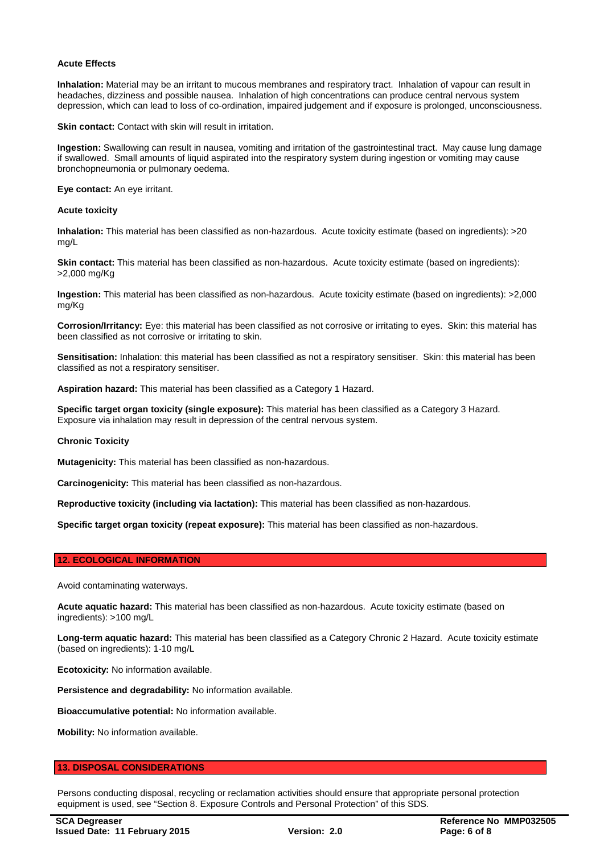#### **Acute Effects**

**Inhalation:** Material may be an irritant to mucous membranes and respiratory tract. Inhalation of vapour can result in headaches, dizziness and possible nausea. Inhalation of high concentrations can produce central nervous system depression, which can lead to loss of co-ordination, impaired judgement and if exposure is prolonged, unconsciousness.

**Skin contact:** Contact with skin will result in irritation.

**Ingestion:** Swallowing can result in nausea, vomiting and irritation of the gastrointestinal tract. May cause lung damage if swallowed. Small amounts of liquid aspirated into the respiratory system during ingestion or vomiting may cause bronchopneumonia or pulmonary oedema.

**Eye contact:** An eye irritant.

#### **Acute toxicity**

**Inhalation:** This material has been classified as non-hazardous. Acute toxicity estimate (based on ingredients): >20 mg/L

**Skin contact:** This material has been classified as non-hazardous. Acute toxicity estimate (based on ingredients): >2,000 mg/Kg

**Ingestion:** This material has been classified as non-hazardous. Acute toxicity estimate (based on ingredients): >2,000 mg/Kg

**Corrosion/Irritancy:** Eye: this material has been classified as not corrosive or irritating to eyes. Skin: this material has been classified as not corrosive or irritating to skin.

**Sensitisation:** Inhalation: this material has been classified as not a respiratory sensitiser. Skin: this material has been classified as not a respiratory sensitiser.

**Aspiration hazard:** This material has been classified as a Category 1 Hazard.

**Specific target organ toxicity (single exposure):** This material has been classified as a Category 3 Hazard. Exposure via inhalation may result in depression of the central nervous system.

#### **Chronic Toxicity**

**Mutagenicity:** This material has been classified as non-hazardous.

**Carcinogenicity:** This material has been classified as non-hazardous.

**Reproductive toxicity (including via lactation):** This material has been classified as non-hazardous.

**Specific target organ toxicity (repeat exposure):** This material has been classified as non-hazardous.

#### **12. ECOLOGICAL INFORMATION**

Avoid contaminating waterways.

**Acute aquatic hazard:** This material has been classified as non-hazardous. Acute toxicity estimate (based on ingredients): >100 mg/L

**Long-term aquatic hazard:** This material has been classified as a Category Chronic 2 Hazard. Acute toxicity estimate (based on ingredients): 1-10 mg/L

**Ecotoxicity:** No information available.

**Persistence and degradability:** No information available.

**Bioaccumulative potential:** No information available.

**Mobility:** No information available.

#### **13. DISPOSAL CONSIDERATIONS**

Persons conducting disposal, recycling or reclamation activities should ensure that appropriate personal protection equipment is used, see "Section 8. Exposure Controls and Personal Protection" of this SDS.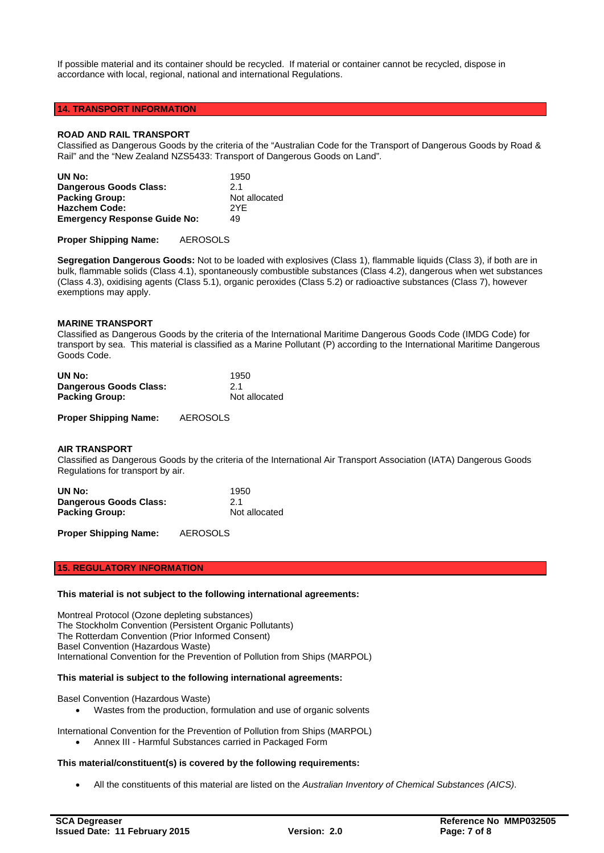If possible material and its container should be recycled. If material or container cannot be recycled, dispose in accordance with local, regional, national and international Regulations.

## **14. TRANSPORT INFORMATION**

#### **ROAD AND RAIL TRANSPORT**

Classified as Dangerous Goods by the criteria of the "Australian Code for the Transport of Dangerous Goods by Road & Rail" and the "New Zealand NZS5433: Transport of Dangerous Goods on Land".

| UN No:                              | 1950          |
|-------------------------------------|---------------|
| Dangerous Goods Class:              | 21            |
| <b>Packing Group:</b>               | Not allocated |
| <b>Hazchem Code:</b>                | 2YF           |
| <b>Emergency Response Guide No:</b> | 49            |

**Proper Shipping Name:** AEROSOLS

**Segregation Dangerous Goods:** Not to be loaded with explosives (Class 1), flammable liquids (Class 3), if both are in bulk, flammable solids (Class 4.1), spontaneously combustible substances (Class 4.2), dangerous when wet substances (Class 4.3), oxidising agents (Class 5.1), organic peroxides (Class 5.2) or radioactive substances (Class 7), however exemptions may apply.

#### **MARINE TRANSPORT**

Classified as Dangerous Goods by the criteria of the International Maritime Dangerous Goods Code (IMDG Code) for transport by sea. This material is classified as a Marine Pollutant (P) according to the International Maritime Dangerous Goods Code.

| UN No:                 | 1950          |
|------------------------|---------------|
| Dangerous Goods Class: | 2.1           |
| <b>Packing Group:</b>  | Not allocated |

**Proper Shipping Name:** AEROSOLS

#### **AIR TRANSPORT**

Classified as Dangerous Goods by the criteria of the International Air Transport Association (IATA) Dangerous Goods Regulations for transport by air.

| UN No:                 | 1950          |
|------------------------|---------------|
| Dangerous Goods Class: | 2.1           |
| <b>Packing Group:</b>  | Not allocated |

**Proper Shipping Name:** AEROSOLS

## **15. REGULATORY INFORMATION**

#### **This material is not subject to the following international agreements:**

Montreal Protocol (Ozone depleting substances) The Stockholm Convention (Persistent Organic Pollutants) The Rotterdam Convention (Prior Informed Consent) Basel Convention (Hazardous Waste) International Convention for the Prevention of Pollution from Ships (MARPOL)

#### **This material is subject to the following international agreements:**

Basel Convention (Hazardous Waste)

• Wastes from the production, formulation and use of organic solvents

International Convention for the Prevention of Pollution from Ships (MARPOL) • Annex III - Harmful Substances carried in Packaged Form

#### **This material/constituent(s) is covered by the following requirements:**

• All the constituents of this material are listed on the *Australian Inventory of Chemical Substances (AICS)*.